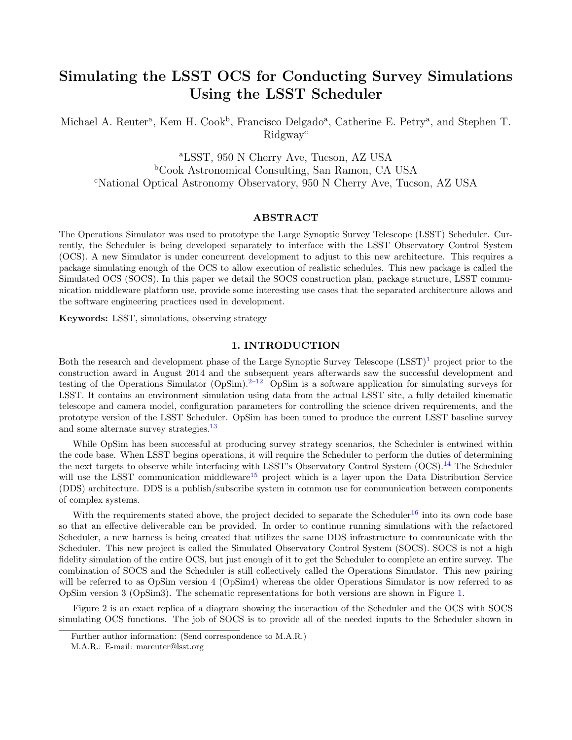# Simulating the LSST OCS for Conducting Survey Simulations Using the LSST Scheduler

Michael A. Reuter<sup>a</sup>, Kem H. Cook<sup>b</sup>, Francisco Delgado<sup>a</sup>, Catherine E. Petry<sup>a</sup>, and Stephen T. Ridgway<sup>c</sup>

<sup>a</sup>LSST, 950 N Cherry Ave, Tucson, AZ USA <sup>b</sup>Cook Astronomical Consulting, San Ramon, CA USA <sup>c</sup>National Optical Astronomy Observatory, 950 N Cherry Ave, Tucson, AZ USA

#### ABSTRACT

The Operations Simulator was used to prototype the Large Synoptic Survey Telescope (LSST) Scheduler. Currently, the Scheduler is being developed separately to interface with the LSST Observatory Control System (OCS). A new Simulator is under concurrent development to adjust to this new architecture. This requires a package simulating enough of the OCS to allow execution of realistic schedules. This new package is called the Simulated OCS (SOCS). In this paper we detail the SOCS construction plan, package structure, LSST communication middleware platform use, provide some interesting use cases that the separated architecture allows and the software engineering practices used in development.

Keywords: LSST, simulations, observing strategy

#### 1. INTRODUCTION

Both the research and development phase of the Large Synoptic Survey Telescope  $(LSST)^{1}$  $(LSST)^{1}$  $(LSST)^{1}$  project prior to the construction award in August 2014 and the subsequent years afterwards saw the successful development and testing of the Operations Simulator  $(OpSim).^{2-12}$  $(OpSim).^{2-12}$  $(OpSim).^{2-12}$  OpSim is a software application for simulating surveys for LSST. It contains an environment simulation using data from the actual LSST site, a fully detailed kinematic telescope and camera model, configuration parameters for controlling the science driven requirements, and the prototype version of the LSST Scheduler. OpSim has been tuned to produce the current LSST baseline survey and some alternate survey strategies.<sup>[13](#page-7-1)</sup>

While OpSim has been successful at producing survey strategy scenarios, the Scheduler is entwined within the code base. When LSST begins operations, it will require the Scheduler to perform the duties of determining the next targets to observe while interfacing with LSST's Observatory Control System (OCS).<sup>[14](#page-7-2)</sup> The Scheduler will use the LSST communication middleware<sup>[15](#page-7-3)</sup> project which is a layer upon the Data Distribution Service (DDS) architecture. DDS is a publish/subscribe system in common use for communication between components of complex systems.

With the requirements stated above, the project decided to separate the Scheduler<sup>[16](#page-7-4)</sup> into its own code base so that an effective deliverable can be provided. In order to continue running simulations with the refactored Scheduler, a new harness is being created that utilizes the same DDS infrastructure to communicate with the Scheduler. This new project is called the Simulated Observatory Control System (SOCS). SOCS is not a high fidelity simulation of the entire OCS, but just enough of it to get the Scheduler to complete an entire survey. The combination of SOCS and the Scheduler is still collectively called the Operations Simulator. This new pairing will be referred to as OpSim version 4 (OpSim4) whereas the older Operations Simulator is now referred to as OpSim version 3 (OpSim3). The schematic representations for both versions are shown in Figure [1.](#page-1-0)

Figure 2 is an exact replica of a diagram showing the interaction of the Scheduler and the OCS with SOCS simulating OCS functions. The job of SOCS is to provide all of the needed inputs to the Scheduler shown in

Further author information: (Send correspondence to M.A.R.)

M.A.R.: E-mail: mareuter@lsst.org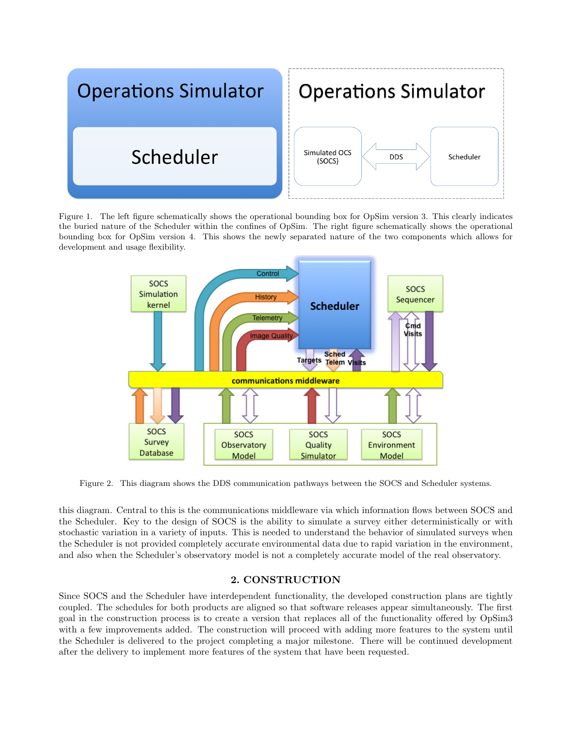

<span id="page-1-0"></span>Figure 1. The left figure schematically shows the operational bounding box for OpSim version 3. This clearly indicates the buried nature of the Scheduler within the confines of OpSim. The right figure schematically shows the operational bounding box for OpSim version 4. This shows the newly separated nature of the two components which allows for development and usage flexibility.



<span id="page-1-1"></span>Figure 2. This diagram shows the DDS communication pathways between the SOCS and Scheduler systems.

this diagram. Central to this is the communications middleware via which information flows between SOCS and the Scheduler. Key to the design of SOCS is the ability to simulate a survey either deterministically or with stochastic variation in a variety of inputs. This is needed to understand the behavior of simulated surveys when the Scheduler is not provided completely accurate environmental data due to rapid variation in the environment, and also when the Scheduler's observatory model is not a completely accurate model of the real observatory.

#### 2. CONSTRUCTION

Since SOCS and the Scheduler have interdependent functionality, the developed construction plans are tightly coupled. The schedules for both products are aligned so that software releases appear simultaneously. The first goal in the construction process is to create a version that replaces all of the functionality offered by OpSim3 with a few improvements added. The construction will proceed with adding more features to the system until the Scheduler is delivered to the project completing a major milestone. There will be continued development after the delivery to implement more features of the system that have been requested.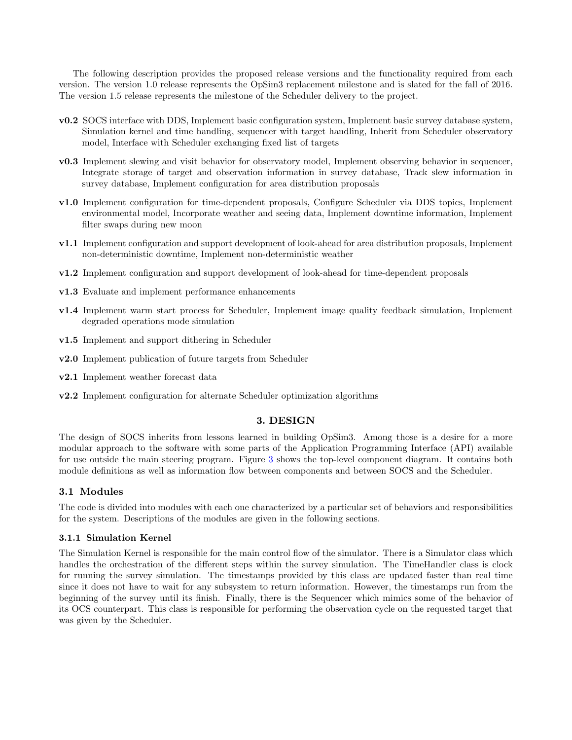The following description provides the proposed release versions and the functionality required from each version. The version 1.0 release represents the OpSim3 replacement milestone and is slated for the fall of 2016. The version 1.5 release represents the milestone of the Scheduler delivery to the project.

- v0.2 SOCS interface with DDS, Implement basic configuration system, Implement basic survey database system, Simulation kernel and time handling, sequencer with target handling, Inherit from Scheduler observatory model, Interface with Scheduler exchanging fixed list of targets
- v0.3 Implement slewing and visit behavior for observatory model, Implement observing behavior in sequencer, Integrate storage of target and observation information in survey database, Track slew information in survey database, Implement configuration for area distribution proposals
- v1.0 Implement configuration for time-dependent proposals, Configure Scheduler via DDS topics, Implement environmental model, Incorporate weather and seeing data, Implement downtime information, Implement filter swaps during new moon
- v1.1 Implement configuration and support development of look-ahead for area distribution proposals, Implement non-deterministic downtime, Implement non-deterministic weather
- v1.2 Implement configuration and support development of look-ahead for time-dependent proposals
- v1.3 Evaluate and implement performance enhancements
- v1.4 Implement warm start process for Scheduler, Implement image quality feedback simulation, Implement degraded operations mode simulation
- v1.5 Implement and support dithering in Scheduler
- v2.0 Implement publication of future targets from Scheduler
- v2.1 Implement weather forecast data
- v2.2 Implement configuration for alternate Scheduler optimization algorithms

## 3. DESIGN

The design of SOCS inherits from lessons learned in building OpSim3. Among those is a desire for a more modular approach to the software with some parts of the Application Programming Interface (API) available for use outside the main steering program. Figure [3](#page-3-0) shows the top-level component diagram. It contains both module definitions as well as information flow between components and between SOCS and the Scheduler.

## 3.1 Modules

The code is divided into modules with each one characterized by a particular set of behaviors and responsibilities for the system. Descriptions of the modules are given in the following sections.

## 3.1.1 Simulation Kernel

The Simulation Kernel is responsible for the main control flow of the simulator. There is a Simulator class which handles the orchestration of the different steps within the survey simulation. The TimeHandler class is clock for running the survey simulation. The timestamps provided by this class are updated faster than real time since it does not have to wait for any subsystem to return information. However, the timestamps run from the beginning of the survey until its finish. Finally, there is the Sequencer which mimics some of the behavior of its OCS counterpart. This class is responsible for performing the observation cycle on the requested target that was given by the Scheduler.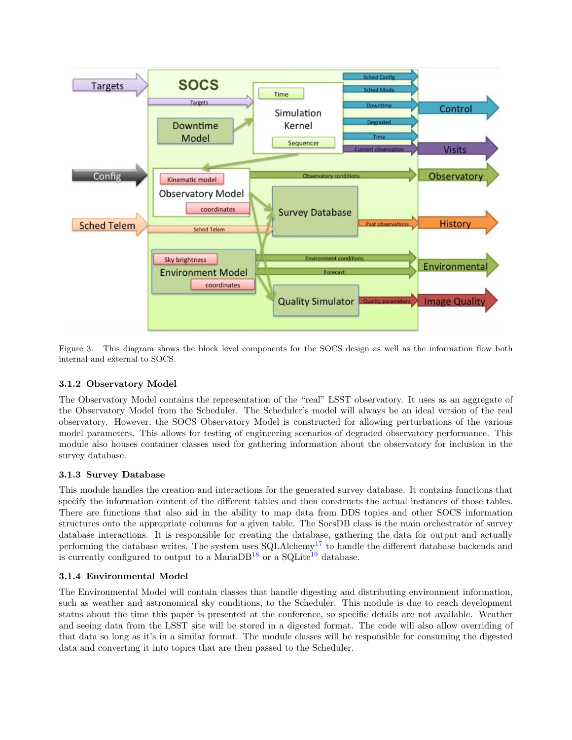

<span id="page-3-0"></span>Figure 3. This diagram shows the block level components for the SOCS design as well as the information flow both internal and external to SOCS.

## 3.1.2 Observatory Model

The Observatory Model contains the representation of the "real" LSST observatory. It uses as an aggregate of the Observatory Model from the Scheduler. The Scheduler's model will always be an ideal version of the real observatory. However, the SOCS Observatory Model is constructed for allowing perturbations of the various model parameters. This allows for testing of engineering scenarios of degraded observatory performance. This module also houses container classes used for gathering information about the observatory for inclusion in the survey database.

## 3.1.3 Survey Database

This module handles the creation and interactions for the generated survey database. It contains functions that specify the information content of the different tables and then constructs the actual instances of those tables. There are functions that also aid in the ability to map data from DDS topics and other SOCS information structures onto the appropriate columns for a given table. The SocsDB class is the main orchestrator of survey database interactions. It is responsible for creating the database, gathering the data for output and actually performing the database writes. The system uses SQLAlchemy<sup>[17](#page-7-5)</sup> to handle the different database backends and is currently configured to output to a MariaDB<sup>[18](#page-7-6)</sup> or a SQLite<sup>[19](#page-7-7)</sup> database.

# 3.1.4 Environmental Model

The Environmental Model will contain classes that handle digesting and distributing environment information, such as weather and astronomical sky conditions, to the Scheduler. This module is due to reach development status about the time this paper is presented at the conference, so specific details are not available. Weather and seeing data from the LSST site will be stored in a digested format. The code will also allow overriding of that data so long as it's in a similar format. The module classes will be responsible for consuming the digested data and converting it into topics that are then passed to the Scheduler.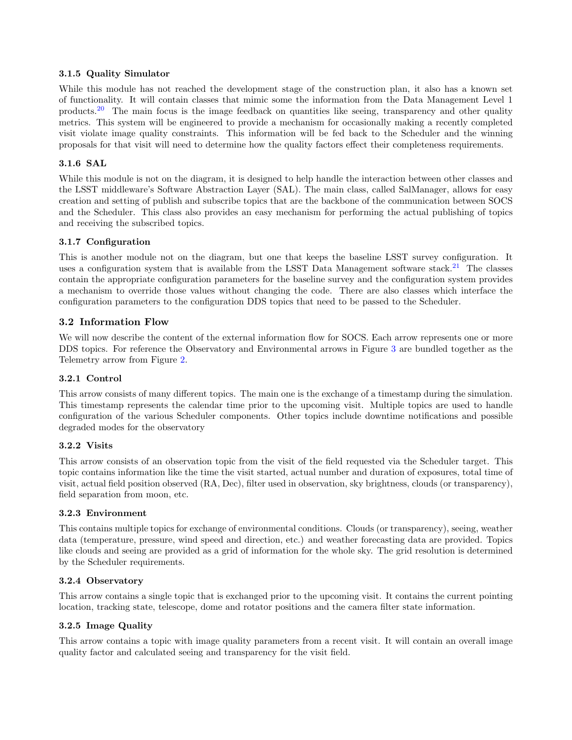#### 3.1.5 Quality Simulator

While this module has not reached the development stage of the construction plan, it also has a known set of functionality. It will contain classes that mimic some the information from the Data Management Level 1 products.<sup>[20](#page-7-8)</sup> The main focus is the image feedback on quantities like seeing, transparency and other quality metrics. This system will be engineered to provide a mechanism for occasionally making a recently completed visit violate image quality constraints. This information will be fed back to the Scheduler and the winning proposals for that visit will need to determine how the quality factors effect their completeness requirements.

## 3.1.6 SAL

While this module is not on the diagram, it is designed to help handle the interaction between other classes and the LSST middleware's Software Abstraction Layer (SAL). The main class, called SalManager, allows for easy creation and setting of publish and subscribe topics that are the backbone of the communication between SOCS and the Scheduler. This class also provides an easy mechanism for performing the actual publishing of topics and receiving the subscribed topics.

# 3.1.7 Configuration

This is another module not on the diagram, but one that keeps the baseline LSST survey configuration. It uses a configuration system that is available from the LSST Data Management software stack.<sup>[21](#page-7-9)</sup> The classes contain the appropriate configuration parameters for the baseline survey and the configuration system provides a mechanism to override those values without changing the code. There are also classes which interface the configuration parameters to the configuration DDS topics that need to be passed to the Scheduler.

# 3.2 Information Flow

We will now describe the content of the external information flow for SOCS. Each arrow represents one or more DDS topics. For reference the Observatory and Environmental arrows in Figure [3](#page-3-0) are bundled together as the Telemetry arrow from Figure [2.](#page-1-1)

## 3.2.1 Control

This arrow consists of many different topics. The main one is the exchange of a timestamp during the simulation. This timestamp represents the calendar time prior to the upcoming visit. Multiple topics are used to handle configuration of the various Scheduler components. Other topics include downtime notifications and possible degraded modes for the observatory

## 3.2.2 Visits

This arrow consists of an observation topic from the visit of the field requested via the Scheduler target. This topic contains information like the time the visit started, actual number and duration of exposures, total time of visit, actual field position observed (RA, Dec), filter used in observation, sky brightness, clouds (or transparency), field separation from moon, etc.

## 3.2.3 Environment

This contains multiple topics for exchange of environmental conditions. Clouds (or transparency), seeing, weather data (temperature, pressure, wind speed and direction, etc.) and weather forecasting data are provided. Topics like clouds and seeing are provided as a grid of information for the whole sky. The grid resolution is determined by the Scheduler requirements.

## 3.2.4 Observatory

This arrow contains a single topic that is exchanged prior to the upcoming visit. It contains the current pointing location, tracking state, telescope, dome and rotator positions and the camera filter state information.

## 3.2.5 Image Quality

This arrow contains a topic with image quality parameters from a recent visit. It will contain an overall image quality factor and calculated seeing and transparency for the visit field.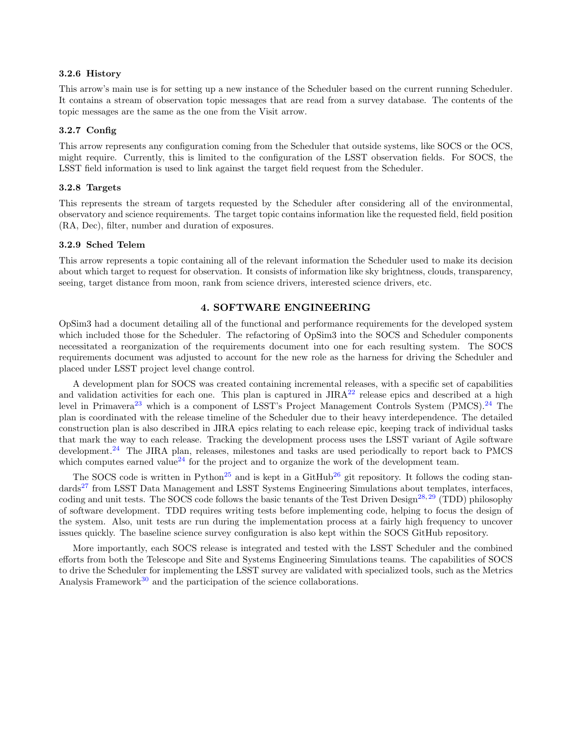#### 3.2.6 History

This arrow's main use is for setting up a new instance of the Scheduler based on the current running Scheduler. It contains a stream of observation topic messages that are read from a survey database. The contents of the topic messages are the same as the one from the Visit arrow.

#### 3.2.7 Config

This arrow represents any configuration coming from the Scheduler that outside systems, like SOCS or the OCS, might require. Currently, this is limited to the configuration of the LSST observation fields. For SOCS, the LSST field information is used to link against the target field request from the Scheduler.

#### 3.2.8 Targets

This represents the stream of targets requested by the Scheduler after considering all of the environmental, observatory and science requirements. The target topic contains information like the requested field, field position (RA, Dec), filter, number and duration of exposures.

#### 3.2.9 Sched Telem

This arrow represents a topic containing all of the relevant information the Scheduler used to make its decision about which target to request for observation. It consists of information like sky brightness, clouds, transparency, seeing, target distance from moon, rank from science drivers, interested science drivers, etc.

## 4. SOFTWARE ENGINEERING

OpSim3 had a document detailing all of the functional and performance requirements for the developed system which included those for the Scheduler. The refactoring of OpSim3 into the SOCS and Scheduler components necessitated a reorganization of the requirements document into one for each resulting system. The SOCS requirements document was adjusted to account for the new role as the harness for driving the Scheduler and placed under LSST project level change control.

A development plan for SOCS was created containing incremental releases, with a specific set of capabilities and validation activities for each one. This plan is captured in  $JIRA<sup>22</sup>$  $JIRA<sup>22</sup>$  $JIRA<sup>22</sup>$  release epics and described at a high level in Primavera<sup>[23](#page-7-11)</sup> which is a component of LSST's Project Management Controls System (PMCS).<sup>[24](#page-7-12)</sup> The plan is coordinated with the release timeline of the Scheduler due to their heavy interdependence. The detailed construction plan is also described in JIRA epics relating to each release epic, keeping track of individual tasks that mark the way to each release. Tracking the development process uses the LSST variant of Agile software development.<sup>[24](#page-7-12)</sup> The JIRA plan, releases, milestones and tasks are used periodically to report back to PMCS which computes earned value<sup>[24](#page-7-12)</sup> for the project and to organize the work of the development team.

The SOCS code is written in Python<sup>[25](#page-7-13)</sup> and is kept in a GitHub<sup>[26](#page-7-14)</sup> git repository. It follows the coding stan-dards<sup>[27](#page-7-15)</sup> from LSST Data Management and LSST Systems Engineering Simulations about templates, interfaces, coding and unit tests. The SOCS code follows the basic tenants of the Test Driven Design<sup>[28,](#page-7-16) [29](#page-7-17)</sup> (TDD) philosophy of software development. TDD requires writing tests before implementing code, helping to focus the design of the system. Also, unit tests are run during the implementation process at a fairly high frequency to uncover issues quickly. The baseline science survey configuration is also kept within the SOCS GitHub repository.

More importantly, each SOCS release is integrated and tested with the LSST Scheduler and the combined efforts from both the Telescope and Site and Systems Engineering Simulations teams. The capabilities of SOCS to drive the Scheduler for implementing the LSST survey are validated with specialized tools, such as the Metrics Analysis Framework<sup>[30](#page-7-18)</sup> and the participation of the science collaborations.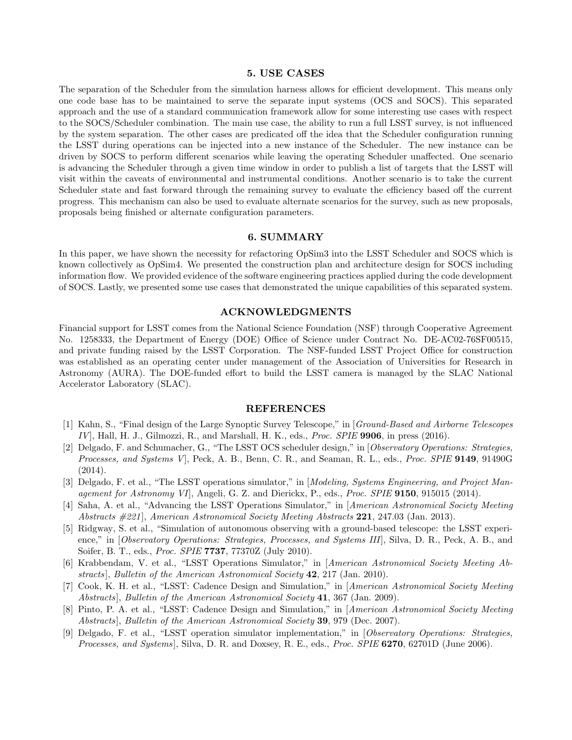#### 5. USE CASES

The separation of the Scheduler from the simulation harness allows for efficient development. This means only one code base has to be maintained to serve the separate input systems (OCS and SOCS). This separated approach and the use of a standard communication framework allow for some interesting use cases with respect to the SOCS/Scheduler combination. The main use case, the ability to run a full LSST survey, is not influenced by the system separation. The other cases are predicated off the idea that the Scheduler configuration running the LSST during operations can be injected into a new instance of the Scheduler. The new instance can be driven by SOCS to perform different scenarios while leaving the operating Scheduler unaffected. One scenario is advancing the Scheduler through a given time window in order to publish a list of targets that the LSST will visit within the caveats of environmental and instrumental conditions. Another scenario is to take the current Scheduler state and fast forward through the remaining survey to evaluate the efficiency based off the current progress. This mechanism can also be used to evaluate alternate scenarios for the survey, such as new proposals, proposals being finished or alternate configuration parameters.

#### 6. SUMMARY

In this paper, we have shown the necessity for refactoring OpSim3 into the LSST Scheduler and SOCS which is known collectively as OpSim4. We presented the construction plan and architecture design for SOCS including information flow. We provided evidence of the software engineering practices applied during the code development of SOCS. Lastly, we presented some use cases that demonstrated the unique capabilities of this separated system.

#### ACKNOWLEDGMENTS

Financial support for LSST comes from the National Science Foundation (NSF) through Cooperative Agreement No. 1258333, the Department of Energy (DOE) Office of Science under Contract No. DE-AC02-76SF00515, and private funding raised by the LSST Corporation. The NSF-funded LSST Project Office for construction was established as an operating center under management of the Association of Universities for Research in Astronomy (AURA). The DOE-funded effort to build the LSST camera is managed by the SLAC National Accelerator Laboratory (SLAC).

#### REFERENCES

- <span id="page-6-0"></span>[1] Kahn, S., "Final design of the Large Synoptic Survey Telescope," in [Ground-Based and Airborne Telescopes  $IV$ , Hall, H. J., Gilmozzi, R., and Marshall, H. K., eds., *Proc. SPIE* 9906, in press  $(2016)$ .
- <span id="page-6-1"></span>[2] Delgado, F. and Schumacher, G., "The LSST OCS scheduler design," in [Observatory Operations: Strategies, Processes, and Systems V, Peck, A. B., Benn, C. R., and Seaman, R. L., eds., Proc. SPIE 9149, 91490G (2014).
- [3] Delgado, F. et al., "The LSST operations simulator," in [Modeling, Systems Engineering, and Project Management for Astronomy VI, Angeli, G. Z. and Dierickx, P., eds., Proc. SPIE 9150, 915015 (2014).
- [4] Saha, A. et al., "Advancing the LSST Operations Simulator," in [American Astronomical Society Meeting Abstracts #221], American Astronomical Society Meeting Abstracts 221, 247.03 (Jan. 2013).
- [5] Ridgway, S. et al., "Simulation of autonomous observing with a ground-based telescope: the LSST experience," in [Observatory Operations: Strategies, Processes, and Systems III], Silva, D. R., Peck, A. B., and Soifer, B. T., eds., Proc. SPIE 7737, 77370Z (July 2010).
- [6] Krabbendam, V. et al., "LSST Operations Simulator," in [American Astronomical Society Meeting Abstracts, Bulletin of the American Astronomical Society 42, 217 (Jan. 2010).
- [7] Cook, K. H. et al., "LSST: Cadence Design and Simulation," in [American Astronomical Society Meeting Abstracts, Bulletin of the American Astronomical Society 41, 367 (Jan. 2009).
- [8] Pinto, P. A. et al., "LSST: Cadence Design and Simulation," in [American Astronomical Society Meeting Abstracts, Bulletin of the American Astronomical Society 39, 979 (Dec. 2007).
- [9] Delgado, F. et al., "LSST operation simulator implementation," in [Observatory Operations: Strategies, Processes, and Systems], Silva, D. R. and Doxsey, R. E., eds., Proc. SPIE 6270, 62701D (June 2006).